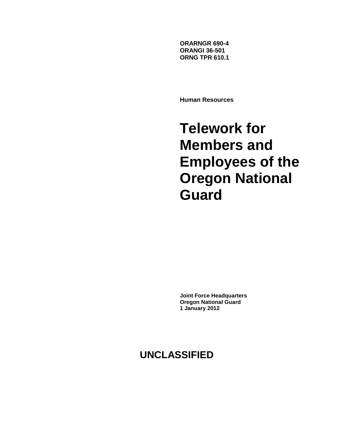**ORARNGR 690-4 ORANGI 36-501 ORNG TPR 610.1**

**Human Resources**

# **Telework for Members and Employees of the Oregon National Guard**

**Joint Force Headquarters Oregon National Guard 1 January 2012**

## **UNCLASSIFIED**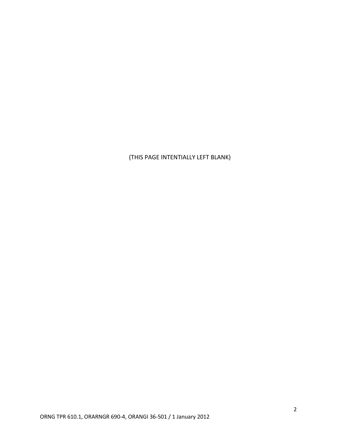## (THIS PAGE INTENTIALLY LEFT BLANK)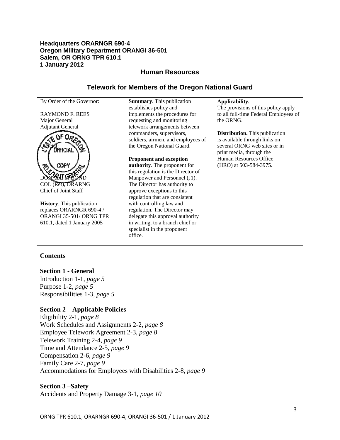#### **Headquarters ORARNGR 690-4 Oregon Military Department ORANGI 36-501 Salem, OR ORNG TPR 610.1 1 January 2012**

#### **Human Resources**

## **Telework for Members of the Oregon National Guard**

By Order of the Governor:

RAYMOND F. REES Major General Adjutant General



COL (Ret), ORARNG Chief of Joint Staff

**History**. This publication replaces ORARNGR 690-4 / ORANGI 35-501/ ORNG TPR 610.1, dated 1 January 2005

**Summary**. This publication establishes policy and implements the procedures for requesting and monitoring telework arrangements between commanders, supervisors, soldiers, airmen, and employees of the Oregon National Guard.

#### **Proponent and exception**

**authority**. The proponent for this regulation is the Director of Manpower and Personnel (J1). The Director has authority to approve exceptions to this regulation that are consistent with controlling law and regulation. The Director may delegate this approval authority in writing, to a branch chief or specialist in the proponent office.

#### **Applicability.**

The provisions of this policy apply to all full-time Federal Employees of the ORNG.

**Distribution.** This publication is available through links on several ORNG web sites or in print media, through the Human Resources Office (HRO) at 503-584-3975.

## **Contents**

#### **Section 1 - General**

Introduction 1-1, *page 5* Purpose 1-2, *page 5* Responsibilities 1-3, *page 5*

## **Section 2 – Applicable Policies**

Eligibility 2-1, *page 8* Work Schedules and Assignments 2-2, *page 8* Employee Telework Agreement 2-3, *page 8* Telework Training 2-4, *page 9* Time and Attendance 2-5, *page 9* Compensation 2-6, *page 9* Family Care 2-7, *page 9* Accommodations for Employees with Disabilities 2-8, *page 9*

#### **Section 3 –Safety**

Accidents and Property Damage 3-1, *page 10*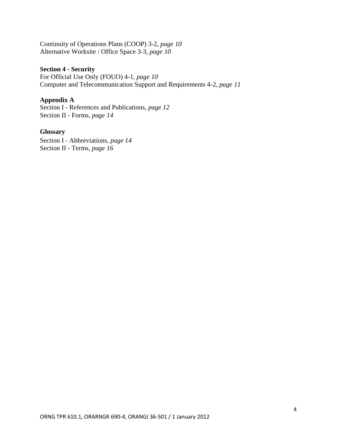Continuity of Operations Plans (COOP) 3-2, *page 10* Alternative Worksite / Office Space 3-3, *page 10*

#### **Section 4 - Security**

For Official Use Only (FOUO) 4-1, *page 10* Computer and Telecommunication Support and Requirements 4-2, *page 11*

## **Appendix A**

Section I - References and Publications, *page 12* Section II - Forms, *page 14*

## **Glossary**

Section I - Abbreviations, *page 14* Section II - Terms, *page 16*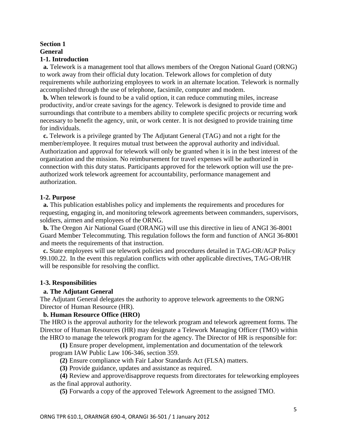## **Section 1 General**

## **1-1. Introduction**

**a.** Telework is a management tool that allows members of the Oregon National Guard (ORNG) to work away from their official duty location. Telework allows for completion of duty requirements while authorizing employees to work in an alternate location. Telework is normally accomplished through the use of telephone, facsimile, computer and modem.

**b.** When telework is found to be a valid option, it can reduce commuting miles, increase productivity, and/or create savings for the agency. Telework is designed to provide time and surroundings that contribute to a members ability to complete specific projects or recurring work necessary to benefit the agency, unit, or work center. It is not designed to provide training time for individuals.

**c.** Telework is a privilege granted by The Adjutant General (TAG) and not a right for the member/employee. It requires mutual trust between the approval authority and individual. Authorization and approval for telework will only be granted when it is in the best interest of the organization and the mission. No reimbursement for travel expenses will be authorized in connection with this duty status. Participants approved for the telework option will use the preauthorized work telework agreement for accountability, performance management and authorization.

#### **1-2. Purpose**

**a.** This publication establishes policy and implements the requirements and procedures for requesting, engaging in, and monitoring telework agreements between commanders, supervisors, soldiers, airmen and employees of the ORNG.

**b.** The Oregon Air National Guard (ORANG) will use this directive in lieu of ANGI 36-8001 Guard Member Telecommuting. This regulation follows the form and function of ANGI 36-8001 and meets the requirements of that instruction.

**c.** State employees will use telework policies and procedures detailed in TAG-OR/AGP Policy 99.100.22. In the event this regulation conflicts with other applicable directives, TAG-OR/HR will be responsible for resolving the conflict.

## **1-3. Responsibilities**

## **a. The Adjutant General**

The Adjutant General delegates the authority to approve telework agreements to the ORNG Director of Human Resource (HR).

## **b. Human Resource Office (HRO)**

The HRO is the approval authority for the telework program and telework agreement forms. The Director of Human Resources (HR) may designate a Telework Managing Officer (TMO) within the HRO to manage the telework program for the agency. The Director of HR is responsible for:

**(1)** Ensure proper development, implementation and documentation of the telework program IAW Public Law 106-346, section 359.

**(2)** Ensure compliance with Fair Labor Standards Act (FLSA) matters.

**(3)** Provide guidance, updates and assistance as required.

**(4)** Review and approve/disapprove requests from directorates for teleworking employees as the final approval authority.

**(5)** Forwards a copy of the approved Telework Agreement to the assigned TMO.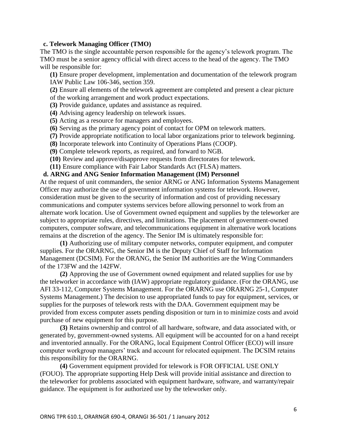#### **c. Telework Managing Officer (TMO)**

The TMO is the single accountable person responsible for the agency's telework program. The TMO must be a senior agency official with direct access to the head of the agency. The TMO will be responsible for:

**(1)** Ensure proper development, implementation and documentation of the telework program IAW Public Law 106-346, section 359.

**(2)** Ensure all elements of the telework agreement are completed and present a clear picture of the working arrangement and work product expectations.

**(3)** Provide guidance, updates and assistance as required.

**(4)** Advising agency leadership on telework issues.

**(5)** Acting as a resource for managers and employees.

**(6)** Serving as the primary agency point of contact for OPM on telework matters.

**(7)** Provide appropriate notification to local labor organizations prior to telework beginning.

**(8)** Incorporate telework into Continuity of Operations Plans (COOP).

**(9)** Complete telework reports, as required, and forward to NGB.

**(10)** Review and approve/disapprove requests from directorates for telework.

**(11)** Ensure compliance with Fair Labor Standards Act (FLSA) matters.

#### **d. ARNG and ANG Senior Information Management (IM) Personnel**

At the request of unit commanders, the senior ARNG or ANG Information Systems Management Officer may authorize the use of government information systems for telework. However, consideration must be given to the security of information and cost of providing necessary communications and computer systems services before allowing personnel to work from an alternate work location. Use of Government owned equipment and supplies by the teleworker are subject to appropriate rules, directives, and limitations. The placement of government-owned computers, computer software, and telecommunications equipment in alternative work locations remains at the discretion of the agency. The Senior IM is ultimately responsible for:

**(1)** Authorizing use of military computer networks, computer equipment, and computer supplies. For the ORARNG, the Senior IM is the Deputy Chief of Staff for Information Management (DCSIM). For the ORANG, the Senior IM authorities are the Wing Commanders of the 173FW and the 142FW.

**(2)** Approving the use of Government owned equipment and related supplies for use by the teleworker in accordance with (IAW) appropriate regulatory guidance. (For the ORANG, use AFI 33-112, Computer Systems Management. For the ORARNG use ORARNG 25-1, Computer Systems Management.) The decision to use appropriated funds to pay for equipment, services, or supplies for the purposes of telework rests with the DAA. Government equipment may be provided from excess computer assets pending disposition or turn in to minimize costs and avoid purchase of new equipment for this purpose.

**(3)** Retains ownership and control of all hardware, software, and data associated with, or generated by, government-owned systems. All equipment will be accounted for on a hand receipt and inventoried annually. For the ORANG, local Equipment Control Officer (ECO) will insure computer workgroup managers' track and account for relocated equipment. The DCSIM retains this responsibility for the ORARNG.

**(4)** Government equipment provided for telework is FOR OFFICIAL USE ONLY (FOUO). The appropriate supporting Help Desk will provide initial assistance and direction to the teleworker for problems associated with equipment hardware, software, and warranty/repair guidance. The equipment is for authorized use by the teleworker only.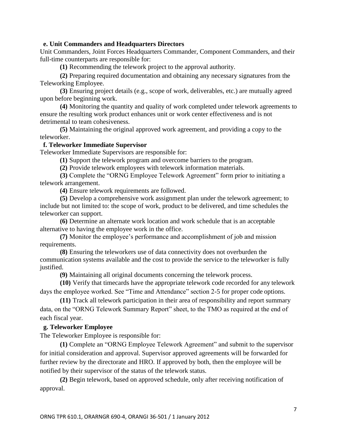#### **e. Unit Commanders and Headquarters Directors**

Unit Commanders, Joint Forces Headquarters Commander, Component Commanders, and their full-time counterparts are responsible for:

**(1)** Recommending the telework project to the approval authority.

**(2)** Preparing required documentation and obtaining any necessary signatures from the Teleworking Employee.

**(3)** Ensuring project details (e.g., scope of work, deliverables, etc.) are mutually agreed upon before beginning work.

**(4)** Monitoring the quantity and quality of work completed under telework agreements to ensure the resulting work product enhances unit or work center effectiveness and is not detrimental to team cohesiveness.

**(5)** Maintaining the original approved work agreement, and providing a copy to the teleworker.

#### **f. Teleworker Immediate Supervisor**

Teleworker Immediate Supervisors are responsible for:

**(1)** Support the telework program and overcome barriers to the program.

**(2)** Provide telework employees with telework information materials.

**(3)** Complete the "ORNG Employee Telework Agreement" form prior to initiating a telework arrangement.

**(4)** Ensure telework requirements are followed.

**(5)** Develop a comprehensive work assignment plan under the telework agreement; to include but not limited to: the scope of work, product to be delivered, and time schedules the teleworker can support.

**(6)** Determine an alternate work location and work schedule that is an acceptable alternative to having the employee work in the office.

**(7)** Monitor the employee's performance and accomplishment of job and mission requirements.

**(8)** Ensuring the teleworkers use of data connectivity does not overburden the communication systems available and the cost to provide the service to the teleworker is fully justified.

**(9)** Maintaining all original documents concerning the telework process.

**(10)** Verify that timecards have the appropriate telework code recorded for any telework days the employee worked. See "Time and Attendance" section 2-5 for proper code options.

**(11)** Track all telework participation in their area of responsibility and report summary data, on the "ORNG Telework Summary Report" sheet, to the TMO as required at the end of each fiscal year.

#### **g. Teleworker Employee**

The Teleworker Employee is responsible for:

**(1)** Complete an "ORNG Employee Telework Agreement" and submit to the supervisor for initial consideration and approval. Supervisor approved agreements will be forwarded for further review by the directorate and HRO. If approved by both, then the employee will be notified by their supervisor of the status of the telework status.

**(2)** Begin telework, based on approved schedule, only after receiving notification of approval.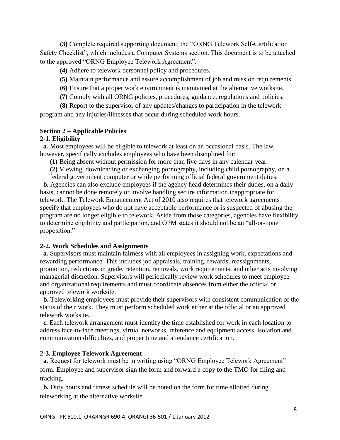**(3)** Complete required supporting document, the "ORNG Telework Self-Certification Safety Checklist", which includes a Computer Systems section. This document is to be attached to the approved "ORNG Employee Telework Agreement".

**(4)** Adhere to telework personnel policy and procedures.

**(5)** Maintain performance and assure accomplishment of job and mission requirements.

- **(6)** Ensure that a proper work environment is maintained at the alternative worksite.
- **(7)** Comply with all ORNG policies, procedures, guidance, regulations and policies.

**(8)** Report to the supervisor of any updates/changes to participation in the telework program and any injuries/illnesses that occur during scheduled work hours.

#### **Section 2 – Applicable Policies**

## **2-1. Eligibility**

**a.** Most employees will be eligible to telework at least on an occasional basis. The law, however, specifically excludes employees who have been disciplined for:

**(1)** Being absent without permission for more than five days in any calendar year.

**(2)** Viewing, downloading or exchanging pornography, including child pornography, on a

federal government computer or while performing official federal government duties.

**b.** Agencies can also exclude employees if the agency head determines their duties, on a daily basis, cannot be done remotely or involve handling secure information inappropriate for telework. The Telework Enhancement Act of 2010 also requires that telework agreements specify that employees who do not have acceptable performance or is suspected of abusing the program are no longer eligible to telework. Aside from those categories, agencies have flexibility to determine eligibility and participation, and OPM states it should not be an "all-or-none proposition."

#### **2-2. Work Schedules and Assignments**

**a.** Supervisors must maintain fairness with all employees in assigning work, expectations and rewarding performance. This includes job appraisals, training, rewards, reassignments, promotion, reductions in grade, retention, removals, work requirements, and other acts involving managerial discretion. Supervisors will periodically review work schedules to meet employee and organizational requirements and must coordinate absences from either the official or approved telework worksite.

**b.** Teleworking employees must provide their supervisors with consistent communication of the status of their work. They must perform scheduled work either at the official or an approved telework worksite.

**c.** Each telework arrangement must identify the time established for work in each location to address face-to-face meetings, virtual networks, reference and equipment access, isolation and communication difficulties, and proper time and attendance certification.

#### **2-3. Employee Telework Agreement**

**a.** Request for telework must be in writing using "ORNG Employee Telework Agreement" form. Employee and supervisor sign the form and forward a copy to the TMO for filing and tracking.

**b.** Duty hours and fitness schedule will be noted on the form for time allotted during teleworking at the alternative worksite.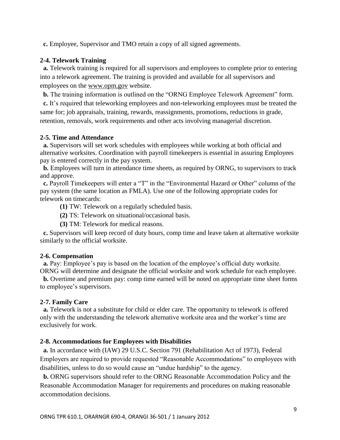**c.** Employee, Supervisor and TMO retain a copy of all signed agreements.

## **2-4. Telework Training**

**a.** Telework training is required for all supervisors and employees to complete prior to entering into a telework agreement. The training is provided and available for all supervisors and employees on the [www.opm.gov](http://www.opm.gov/) website.

**b.** The training information is outlined on the "ORNG Employee Telework Agreement" form.

**c.** It's required that teleworking employees and non-teleworking employees must be treated the same for; job appraisals, training, rewards, reassignments, promotions, reductions in grade, retention, removals, work requirements and other acts involving managerial discretion.

#### **2-5. Time and Attendance**

**a.** Supervisors will set work schedules with employees while working at both official and alternative worksites. Coordination with payroll timekeepers is essential in assuring Employees pay is entered correctly in the pay system.

**b.** Employees will turn in attendance time sheets, as required by ORNG, to supervisors to track and approve.

**c.** Payroll Timekeepers will enter a "T" in the "Environmental Hazard or Other" column of the pay system (the same location as FMLA). Use one of the following appropriate codes for telework on timecards:

**(1)** TW: Telework on a regularly scheduled basis.

**(2)** TS: Telework on situational/occasional basis.

**(3)** TM: Telework for medical reasons.

**c.** Supervisors will keep record of duty hours, comp time and leave taken at alternative worksite similarly to the official worksite.

#### **2-6. Compensation**

**a.** Pay: Employee's pay is based on the location of the employee's official duty worksite. ORNG will determine and designate the official worksite and work schedule for each employee.

**b.** Overtime and premium pay: comp time earned will be noted on appropriate time sheet forms to employee's supervisors.

#### **2-7. Family Care**

**a.** Telework is not a substitute for child or elder care. The opportunity to telework is offered only with the understanding the telework alternative worksite area and the worker's time are exclusively for work.

#### **2-8. Accommodations for Employees with Disabilities**

**a.** In accordance with (IAW) 29 U.S.C. Section 791 (Rehabilitation Act of 1973), Federal Employers are required to provide requested "Reasonable Accommodations" to employees with disabilities, unless to do so would cause an "undue hardship" to the agency.

**b.** ORNG supervisors should refer to the ORNG Reasonable Accommodation Policy and the Reasonable Accommodation Manager for requirements and procedures on making reasonable accommodation decisions.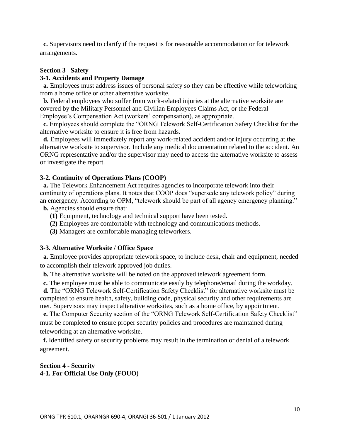**c.** Supervisors need to clarify if the request is for reasonable accommodation or for telework arrangements.

#### **Section 3 –Safety**

#### **3-1. Accidents and Property Damage**

**a.** Employees must address issues of personal safety so they can be effective while teleworking from a home office or other alternative worksite.

**b.** Federal employees who suffer from work-related injuries at the alternative worksite are covered by the Military Personnel and Civilian Employees Claims Act, or the Federal Employee's Compensation Act (workers' compensation), as appropriate.

**c.** Employees should complete the "ORNG Telework Self-Certification Safety Checklist for the alternative worksite to ensure it is free from hazards.

**d.** Employees will immediately report any work-related accident and/or injury occurring at the alternative worksite to supervisor. Include any medical documentation related to the accident. An ORNG representative and/or the supervisor may need to access the alternative worksite to assess or investigate the report.

#### **3-2. Continuity of Operations Plans (COOP)**

**a.** The Telework Enhancement Act requires agencies to incorporate telework into their continuity of operations plans. It notes that COOP does "supersede any telework policy" during an emergency. According to OPM, "telework should be part of all agency emergency planning." **b.** Agencies should ensure that:

**(1)** Equipment, technology and technical support have been tested.

**(2)** Employees are comfortable with technology and communications methods.

**(3)** Managers are comfortable managing teleworkers.

#### **3-3. Alternative Worksite / Office Space**

**a.** Employee provides appropriate telework space, to include desk, chair and equipment, needed to accomplish their telework approved job duties.

**b.** The alternative worksite will be noted on the approved telework agreement form.

**c.** The employee must be able to communicate easily by telephone/email during the workday. **d.** The "ORNG Telework Self-Certification Safety Checklist" for alternative worksite must be completed to ensure health, safety, building code, physical security and other requirements are met. Supervisors may inspect alterative worksites, such as a home office, by appointment.

**e.** The Computer Security section of the "ORNG Telework Self-Certification Safety Checklist" must be completed to ensure proper security policies and procedures are maintained during teleworking at an alternative worksite.

**f.** Identified safety or security problems may result in the termination or denial of a telework agreement.

**Section 4 - Security 4-1. For Official Use Only (FOUO)**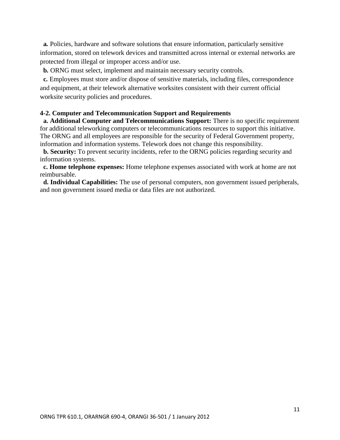**a.** Policies, hardware and software solutions that ensure information, particularly sensitive information, stored on telework devices and transmitted across internal or external networks are protected from illegal or improper access and/or use.

**b.** ORNG must select, implement and maintain necessary security controls.

**c.** Employees must store and/or dispose of sensitive materials, including files, correspondence and equipment, at their telework alternative worksites consistent with their current official worksite security policies and procedures.

#### **4-2. Computer and Telecommunication Support and Requirements**

**a. Additional Computer and Telecommunications Support:** There is no specific requirement for additional teleworking computers or telecommunications resources to support this initiative. The ORNG and all employees are responsible for the security of Federal Government property, information and information systems. Telework does not change this responsibility.

**b. Security:** To prevent security incidents, refer to the ORNG policies regarding security and information systems.

**c. Home telephone expenses:** Home telephone expenses associated with work at home are not reimbursable.

**d. Individual Capabilities:** The use of personal computers, non government issued peripherals, and non government issued media or data files are not authorized.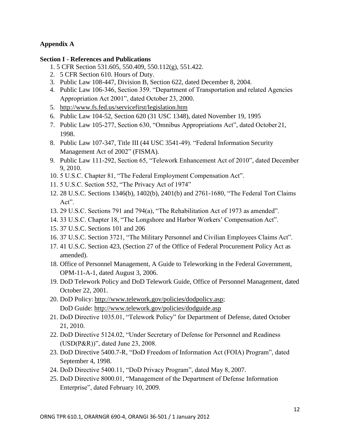## **Appendix A**

#### **Section I - References and Publications**

- 1. 5 CFR Section 531.605, 550.409, 550.112(g), 551.422.
- 2. 5 CFR Section 610. Hours of Duty.
- 3. Public Law 108-447, Division B, Section 622, dated December 8, 2004.
- 4. Public Law 106-346, Section 359. "Department of Transportation and related Agencies Appropriation Act 2001", dated October 23, 2000.
- 5. <http://www.fs.fed.us/servicefirst/legislation.htm>
- 6. Public Law 104-52, Section 620 (31 USC 1348), dated November 19, 1995
- 7. Public Law 105-277, Section 630, "Omnibus Appropriations Act", dated October21, 1998.
- 8. Public Law 107-347, Title III (44 USC 3541-49). "Federal Information Security Management Act of 2002" (FISMA).
- 9. Public Law 111-292, Section 65, "Telework Enhancement Act of 2010", dated December 9, 2010.
- 10. 5 U.S.C. Chapter 81, "The Federal Employment Compensation Act".
- 11. 5 U.S.C. Section 552, "The Privacy Act of 1974"
- 12. 28 U.S.C. Sections 1346(b), 1402(b), 2401(b) and 2761-1680, "The Federal Tort Claims Act".
- 13. 29 U.S.C. Sections 791 and 794(a), "The Rehabilitation Act of 1973 as amended".
- 14. 33 U.S.C. Chapter 18, "The Longshore and Harbor Workers' Compensation Act".
- 15. 37 U.S.C. Sections 101 and 206
- 16. 37 U.S.C. Section 3721, "The Military Personnel and Civilian Employees Claims Act".
- 17. 41 U.S.C. Section 423, (Section 27 of the Office of Federal Procurement Policy Act as amended).
- 18. Office of Personnel Management, A Guide to Teleworking in the Federal Government, OPM-11-A-1, dated August 3, 2006.
- 19. DoD Telework Policy and DoD Telework Guide, Office of Personnel Management, dated October 22, 2001.
- 20. DoD Policy: [http://www.telework.gov/policies/dodpolicy.asp;](http://www.telework.gov/policies/dodpolicy.asp) DoD Guide: <http://www.telework.gov/policies/dodguide.asp>
- 21. DoD Directive 1035.01, "Telework Policy" for Department of Defense, dated October 21, 2010.
- 22. DoD Directive 5124.02, "Under Secretary of Defense for Personnel and Readiness (USD(P&R))", dated June 23, 2008.
- 23. DoD Directive 5400.7-R, "DoD Freedom of Information Act (FOIA) Program", dated September 4, 1998.
- 24. DoD Directive 5400.11, "DoD Privacy Program", dated May 8, 2007.
- 25. DoD Directive 8000.01, "Management of the Department of Defense Information Enterprise", dated February 10, 2009.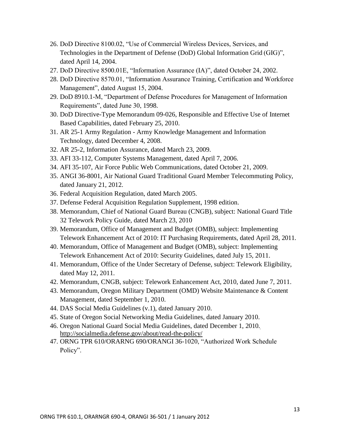- 26. DoD Directive 8100.02, "Use of Commercial Wireless Devices, Services, and Technologies in the Department of Defense (DoD) Global Information Grid (GIG)", dated April 14, 2004.
- 27. DoD Directive 8500.01E, "Information Assurance (IA)", dated October 24, 2002.
- 28. DoD Directive 8570.01, "Information Assurance Training, Certification and Workforce Management", dated August 15, 2004.
- 29. DoD 8910.1-M, "Department of Defense Procedures for Management of Information Requirements", dated June 30, 1998.
- 30. DoD Directive-Type Memorandum 09-026, Responsible and Effective Use of Internet Based Capabilities, dated February 25, 2010.
- 31. AR 25-1 Army Regulation Army Knowledge Management and Information Technology, dated December 4, 2008.
- 32. AR 25-2, Information Assurance, dated March 23, 2009.
- 33. AFI 33-112, Computer Systems Management, dated April 7, 2006.
- 34. AFI 35-107, Air Force Public Web Communications, dated October 21, 2009.
- 35. ANGI 36-8001, Air National Guard Traditional Guard Member Telecommuting Policy, dated January 21, 2012.
- 36. Federal Acquisition Regulation, dated March 2005.
- 37. Defense Federal Acquisition Regulation Supplement, 1998 edition.
- 38. Memorandum, Chief of National Guard Bureau (CNGB), subject: National Guard Title 32 Telework Policy Guide, dated March 23, 2010
- 39. Memorandum, Office of Management and Budget (OMB), subject: Implementing Telework Enhancement Act of 2010: IT Purchasing Requirements, dated April 28, 2011.
- 40. Memorandum, Office of Management and Budget (OMB), subject: Implementing Telework Enhancement Act of 2010: Security Guidelines, dated July 15, 2011.
- 41. Memorandum, Office of the Under Secretary of Defense, subject: Telework Eligibility, dated May 12, 2011.
- 42. Memorandum, CNGB, subject: Telework Enhancement Act, 2010, dated June 7, 2011.
- 43. Memorandum, Oregon Military Department (OMD) Website Maintenance & Content Management, dated September 1, 2010.
- 44. DAS Social Media Guidelines (v.1), dated January 2010.
- 45. State of Oregon Social Networking Media Guidelines, dated January 2010.
- 46. Oregon National Guard Social Media Guidelines, dated December 1, 2010. <http://socialmedia.defense.gov/about/read-the-policy/>
- 47. ORNG TPR 610/ORARNG 690/ORANGI 36-1020, "Authorized Work Schedule Policy".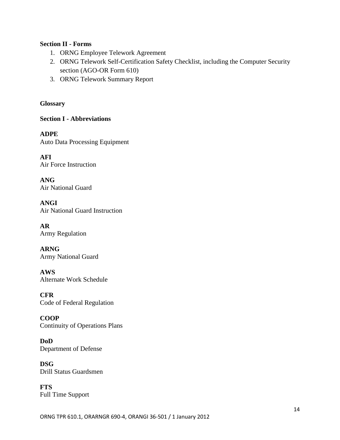## **Section II - Forms**

- 1. ORNG Employee Telework Agreement
- 2. ORNG Telework Self-Certification Safety Checklist, including the Computer Security section (AGO-OR Form 610)
- 3. ORNG Telework Summary Report

## **Glossary**

**Section I - Abbreviations** 

**ADPE** Auto Data Processing Equipment

**AFI** Air Force Instruction

**ANG** Air National Guard

**ANGI** Air National Guard Instruction

**AR** Army Regulation

**ARNG** Army National Guard

**AWS** Alternate Work Schedule

**CFR** Code of Federal Regulation

**COOP** Continuity of Operations Plans

**DoD** Department of Defense

**DSG** Drill Status Guardsmen

**FTS** Full Time Support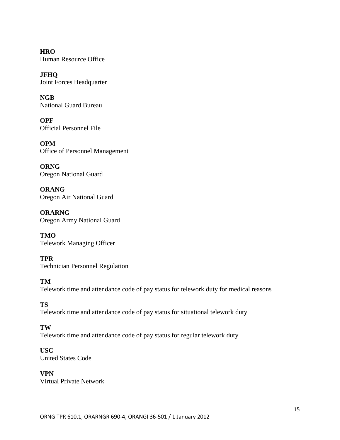**HRO** Human Resource Office

**JFHQ** Joint Forces Headquarter

**NGB** National Guard Bureau

**OPF** Official Personnel File

**OPM** Office of Personnel Management

**ORNG** Oregon National Guard

**ORANG** Oregon Air National Guard

**ORARNG** Oregon Army National Guard

**TMO** Telework Managing Officer

**TPR** Technician Personnel Regulation

**TM** Telework time and attendance code of pay status for telework duty for medical reasons

**TS** Telework time and attendance code of pay status for situational telework duty

**TW** Telework time and attendance code of pay status for regular telework duty

**USC** United States Code

**VPN** Virtual Private Network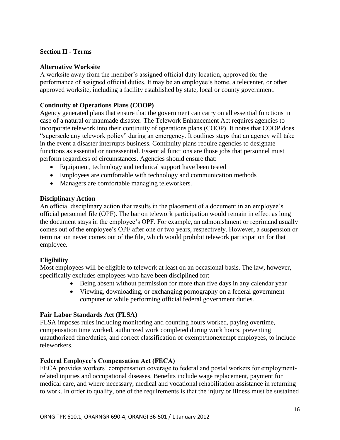## **Section II - Terms**

## **Alternative Worksite**

A worksite away from the member's assigned official duty location, approved for the performance of assigned official duties. It may be an employee's home, a telecenter, or other approved worksite, including a facility established by state, local or county government.

## **Continuity of Operations Plans (COOP)**

Agency generated plans that ensure that the government can carry on all essential functions in case of a natural or manmade disaster. The Telework Enhancement Act requires agencies to incorporate telework into their continuity of operations plans (COOP). It notes that COOP does "supersede any telework policy" during an emergency. It outlines steps that an agency will take in the event a disaster interrupts business. Continuity plans require agencies to designate functions as essential or nonessential. Essential functions are those jobs that personnel must perform regardless of circumstances. Agencies should ensure that:

- Equipment, technology and technical support have been tested
- Employees are comfortable with technology and communication methods
- Managers are comfortable managing teleworkers.

## **Disciplinary Action**

An official disciplinary action that results in the placement of a document in an employee's official personnel file (OPF). The bar on telework participation would remain in effect as long the document stays in the employee's OPF. For example, an admonishment or reprimand usually comes out of the employee's OPF after one or two years, respectively. However, a suspension or termination never comes out of the file, which would prohibit telework participation for that employee.

## **Eligibility**

Most employees will be eligible to telework at least on an occasional basis. The law, however, specifically excludes employees who have been disciplined for:

- Being absent without permission for more than five days in any calendar year
- Viewing, downloading, or exchanging pornography on a federal government computer or while performing official federal government duties.

## **Fair Labor Standards Act (FLSA)**

FLSA imposes rules including monitoring and counting hours worked, paying overtime, compensation time worked, authorized work completed during work hours, preventing unauthorized time/duties, and correct classification of exempt/nonexempt employees, to include teleworkers.

## **Federal Employee's Compensation Act (FECA)**

FECA provides workers' compensation coverage to federal and postal workers for employmentrelated injuries and occupational diseases. Benefits include wage replacement, payment for medical care, and where necessary, medical and vocational rehabilitation assistance in returning to work. In order to qualify, one of the requirements is that the injury or illness must be sustained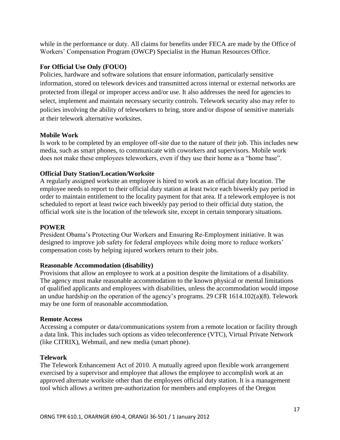while in the performance or duty. All claims for benefits under FECA are made by the Office of Workers' Compensation Program (OWCP) Specialist in the Human Resources Office.

## **For Official Use Only (FOUO)**

Policies, hardware and software solutions that ensure information, particularly sensitive information, stored on telework devices and transmitted across internal or external networks are protected from illegal or improper access and/or use. It also addresses the need for agencies to select, implement and maintain necessary security controls. Telework security also may refer to policies involving the ability of teleworkers to bring, store and/or dispose of sensitive materials at their telework alternative worksites.

## **Mobile Work**

Is work to be completed by an employee off-site due to the nature of their job. This includes new media, such as smart phones, to communicate with coworkers and supervisors. Mobile work does not make these employees teleworkers, even if they use their home as a "home base".

## **Official Duty Station/Location/Worksite**

A regularly assigned worksite an employee is hired to work as an official duty location. The employee needs to report to their official duty station at least twice each biweekly pay period in order to maintain entitlement to the locality payment for that area. If a telework employee is not scheduled to report at least twice each biweekly pay period to their official duty station, the official work site is the location of the telework site, except in certain temporary situations.

## **POWER**

President Obama's Protecting Our Workers and Ensuring Re-Employment initiative. It was designed to improve job safety for federal employees while doing more to reduce workers' compensation costs by helping injured workers return to their jobs.

## **Reasonable Accommodation (disability)**

Provisions that allow an employee to work at a position despite the limitations of a disability. The agency must make reasonable accommodation to the known physical or mental limitations of qualified applicants and employees with disabilities, unless the accommodation would impose an undue hardship on the operation of the agency's programs. 29 CFR 1614.102(a)(8). Telework may be one form of reasonable accommodation.

## **Remote Access**

Accessing a computer or data/communications system from a remote location or facility through a data link. This includes such options as video teleconference (VTC), Virtual Private Network (like CITRIX), Webmail, and new media (smart phone).

## **Telework**

The Telework Enhancement Act of 2010. A mutually agreed upon flexible work arrangement exercised by a supervisor and employee that allows the employee to accomplish work at an approved alternate worksite other than the employees official duty station. It is a management tool which allows a written pre-authorization for members and employees of the Oregon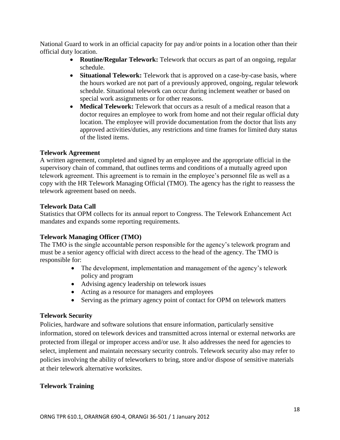National Guard to work in an official capacity for pay and/or points in a location other than their official duty location.

- **Routine/Regular Telework:** Telework that occurs as part of an ongoing, regular schedule.
- **Situational Telework:** Telework that is approved on a case-by-case basis, where the hours worked are not part of a previously approved, ongoing, regular telework schedule. Situational telework can occur during inclement weather or based on special work assignments or for other reasons.
- **Medical Telework:** Telework that occurs as a result of a medical reason that a doctor requires an employee to work from home and not their regular official duty location. The employee will provide documentation from the doctor that lists any approved activities/duties, any restrictions and time frames for limited duty status of the listed items.

## **Telework Agreement**

A written agreement, completed and signed by an employee and the appropriate official in the supervisory chain of command, that outlines terms and conditions of a mutually agreed upon telework agreement. This agreement is to remain in the employee's personnel file as well as a copy with the HR Telework Managing Official (TMO). The agency has the right to reassess the telework agreement based on needs.

## **Telework Data Call**

Statistics that OPM collects for its annual report to Congress. The Telework Enhancement Act mandates and expands some reporting requirements.

## **Telework Managing Officer (TMO)**

The TMO is the single accountable person responsible for the agency's telework program and must be a senior agency official with direct access to the head of the agency. The TMO is responsible for:

- The development, implementation and management of the agency's telework policy and program
- Advising agency leadership on telework issues
- Acting as a resource for managers and employees
- Serving as the primary agency point of contact for OPM on telework matters

## **Telework Security**

Policies, hardware and software solutions that ensure information, particularly sensitive information, stored on telework devices and transmitted across internal or external networks are protected from illegal or improper access and/or use. It also addresses the need for agencies to select, implement and maintain necessary security controls. Telework security also may refer to policies involving the ability of teleworkers to bring, store and/or dispose of sensitive materials at their telework alternative worksites.

## **Telework Training**